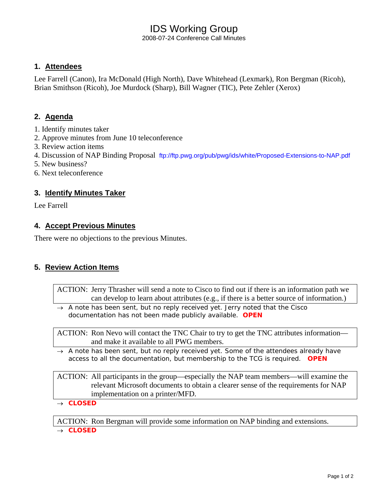# IDS Working Group

2008-07-24 Conference Call Minutes

### **1. Attendees**

Lee Farrell (Canon), Ira McDonald (High North), Dave Whitehead (Lexmark), Ron Bergman (Ricoh), Brian Smithson (Ricoh), Joe Murdock (Sharp), Bill Wagner (TIC), Pete Zehler (Xerox)

### **2. Agenda**

- 1. Identify minutes taker
- 2. Approve minutes from June 10 teleconference
- 3. Review action items
- 4. Discussion of NAP Binding Proposal ftp://ftp.pwg.org/pub/pwg/ids/white/Proposed-Extensions-to-NAP.pdf
- 5. New business?
- 6. Next teleconference

### **3. Identify Minutes Taker**

Lee Farrell

#### **4. Accept Previous Minutes**

There were no objections to the previous Minutes.

### **5. Review Action Items**

ACTION: Jerry Thrasher will send a note to Cisco to find out if there is an information path we can develop to learn about attributes (e.g., if there is a better source of information.)

→ *A note has been sent, but no reply received yet. Jerry noted that the Cisco documentation has not been made publicly available. OPEN* 

ACTION: Ron Nevo will contact the TNC Chair to try to get the TNC attributes information and make it available to all PWG members.

→ *A note has been sent, but no reply received yet. Some of the attendees already have access to all the documentation, but membership to the TCG is required. OPEN* 

ACTION: All participants in the group—especially the NAP team members—will examine the relevant Microsoft documents to obtain a clearer sense of the requirements for NAP implementation on a printer/MFD.

→ *CLOSED* 

ACTION: Ron Bergman will provide some information on NAP binding and extensions. → *CLOSED*